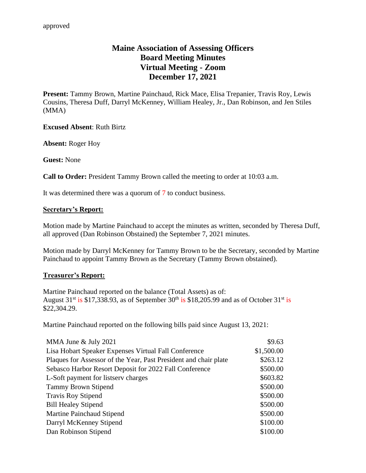# **Maine Association of Assessing Officers Board Meeting Minutes Virtual Meeting - Zoom December 17, 2021**

**Present:** Tammy Brown, Martine Painchaud, Rick Mace, Elisa Trepanier, Travis Roy, Lewis Cousins, Theresa Duff, Darryl McKenney, William Healey, Jr., Dan Robinson, and Jen Stiles (MMA)

**Excused Absent**: Ruth Birtz

**Absent:** Roger Hoy

**Guest:** None

**Call to Order:** President Tammy Brown called the meeting to order at 10:03 a.m.

It was determined there was a quorum of 7 to conduct business.

#### **Secretary's Report:**

Motion made by Martine Painchaud to accept the minutes as written, seconded by Theresa Duff, all approved (Dan Robinson Obstained) the September 7, 2021 minutes.

Motion made by Darryl McKenney for Tammy Brown to be the Secretary, seconded by Martine Painchaud to appoint Tammy Brown as the Secretary (Tammy Brown obstained).

### **Treasurer's Report:**

Martine Painchaud reported on the balance (Total Assets) as of: August  $31<sup>st</sup>$  is \$17,338.93, as of September  $30<sup>th</sup>$  is \$18,205.99 and as of October  $31<sup>st</sup>$  is \$22,304.29.

Martine Painchaud reported on the following bills paid since August 13, 2021:

| MMA June & July 2021                                             | \$9.63     |
|------------------------------------------------------------------|------------|
| Lisa Hobart Speaker Expenses Virtual Fall Conference             | \$1,500.00 |
| Plaques for Assessor of the Year, Past President and chair plate | \$263.12   |
| Sebasco Harbor Resort Deposit for 2022 Fall Conference           | \$500.00   |
| L-Soft payment for listsery charges                              | \$603.82   |
| <b>Tammy Brown Stipend</b>                                       | \$500.00   |
| <b>Travis Roy Stipend</b>                                        | \$500.00   |
| <b>Bill Healey Stipend</b>                                       | \$500.00   |
| Martine Painchaud Stipend                                        | \$500.00   |
| Darryl McKenney Stipend                                          | \$100.00   |
| Dan Robinson Stipend                                             | \$100.00   |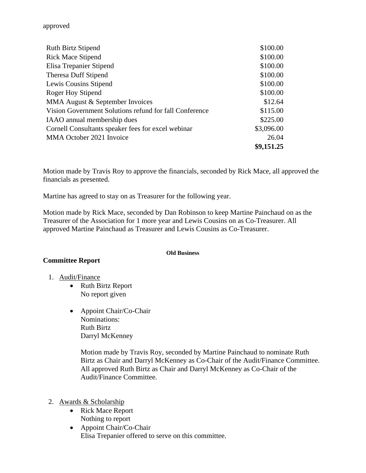| <b>Ruth Birtz Stipend</b>                              | \$100.00   |
|--------------------------------------------------------|------------|
| <b>Rick Mace Stipend</b>                               | \$100.00   |
| Elisa Trepanier Stipend                                | \$100.00   |
| <b>Theresa Duff Stipend</b>                            | \$100.00   |
| Lewis Cousins Stipend                                  | \$100.00   |
| Roger Hoy Stipend                                      | \$100.00   |
| MMA August & September Invoices                        | \$12.64    |
| Vision Government Solutions refund for fall Conference | \$115.00   |
| IAAO annual membership dues                            | \$225.00   |
| Cornell Consultants speaker fees for excel webinar     | \$3,096.00 |
| MMA October 2021 Invoice                               | 26.04      |
|                                                        | \$9,151.25 |

Motion made by Travis Roy to approve the financials, seconded by Rick Mace, all approved the financials as presented.

Martine has agreed to stay on as Treasurer for the following year.

Motion made by Rick Mace, seconded by Dan Robinson to keep Martine Painchaud on as the Treasurer of the Association for 1 more year and Lewis Cousins on as Co-Treasurer. All approved Martine Painchaud as Treasurer and Lewis Cousins as Co-Treasurer.

#### **Old Business**

### **Committee Report**

- 1. Audit/Finance
	- Ruth Birtz Report No report given
	- Appoint Chair/Co-Chair Nominations: Ruth Birtz Darryl McKenney

Motion made by Travis Roy, seconded by Martine Painchaud to nominate Ruth Birtz as Chair and Darryl McKenney as Co-Chair of the Audit/Finance Committee. All approved Ruth Birtz as Chair and Darryl McKenney as Co-Chair of the Audit/Finance Committee.

- 2. Awards & Scholarship
	- Rick Mace Report Nothing to report
	- Appoint Chair/Co-Chair Elisa Trepanier offered to serve on this committee.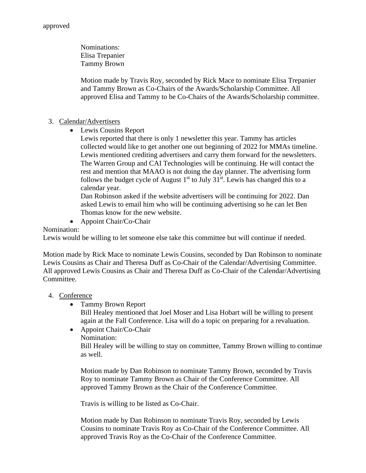Nominations: Elisa Trepanier Tammy Brown

Motion made by Travis Roy, seconded by Rick Mace to nominate Elisa Trepanier and Tammy Brown as Co-Chairs of the Awards/Scholarship Committee. All approved Elisa and Tammy to be Co-Chairs of the Awards/Scholarship committee.

# 3. Calendar/Advertisers

• Lewis Cousins Report

Lewis reported that there is only 1 newsletter this year. Tammy has articles collected would like to get another one out beginning of 2022 for MMAs timeline. Lewis mentioned crediting advertisers and carry them forward for the newsletters. The Warren Group and CAI Technologies will be continuing. He will contact the rest and mention that MAAO is not doing the day planner. The advertising form follows the budget cycle of August  $1<sup>st</sup>$  to July 31<sup>st</sup>. Lewis has changed this to a calendar year.

Dan Robinson asked if the website advertisers will be continuing for 2022. Dan asked Lewis to email him who will be continuing advertising so he can let Ben Thomas know for the new website.

• Appoint Chair/Co-Chair

# Nomination:

Lewis would be willing to let someone else take this committee but will continue if needed.

Motion made by Rick Mace to nominate Lewis Cousins, seconded by Dan Robinson to nominate Lewis Cousins as Chair and Theresa Duff as Co-Chair of the Calendar/Advertising Committee. All approved Lewis Cousins as Chair and Theresa Duff as Co-Chair of the Calendar/Advertising Committee.

# 4. Conference

• Tammy Brown Report

Bill Healey mentioned that Joel Moser and Lisa Hobart will be willing to present again at the Fall Conference. Lisa will do a topic on preparing for a revaluation.

• Appoint Chair/Co-Chair Nomination:

Bill Healey will be willing to stay on committee, Tammy Brown willing to continue as well.

Motion made by Dan Robinson to nominate Tammy Brown, seconded by Travis Roy to nominate Tammy Brown as Chair of the Conference Committee. All approved Tammy Brown as the Chair of the Conference Committee.

Travis is willing to be listed as Co-Chair.

Motion made by Dan Robinson to nominate Travis Roy, seconded by Lewis Cousins to nominate Travis Roy as Co-Chair of the Conference Committee. All approved Travis Roy as the Co-Chair of the Conference Committee.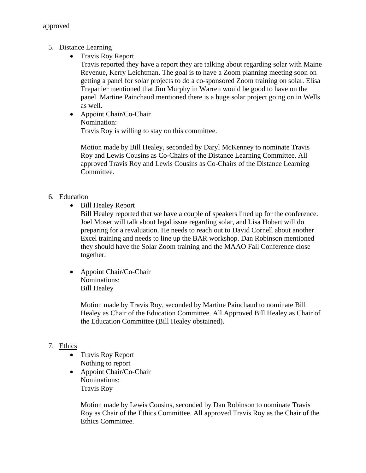- 5. Distance Learning
	- Travis Roy Report

Travis reported they have a report they are talking about regarding solar with Maine Revenue, Kerry Leichtman. The goal is to have a Zoom planning meeting soon on getting a panel for solar projects to do a co-sponsored Zoom training on solar. Elisa Trepanier mentioned that Jim Murphy in Warren would be good to have on the panel. Martine Painchaud mentioned there is a huge solar project going on in Wells as well.

• Appoint Chair/Co-Chair Nomination: Travis Roy is willing to stay on this committee.

Motion made by Bill Healey, seconded by Daryl McKenney to nominate Travis Roy and Lewis Cousins as Co-Chairs of the Distance Learning Committee. All approved Travis Roy and Lewis Cousins as Co-Chairs of the Distance Learning Committee.

- 6. Education
	- Bill Healey Report

Bill Healey reported that we have a couple of speakers lined up for the conference. Joel Moser will talk about legal issue regarding solar, and Lisa Hobart will do preparing for a revaluation. He needs to reach out to David Cornell about another Excel training and needs to line up the BAR workshop. Dan Robinson mentioned they should have the Solar Zoom training and the MAAO Fall Conference close together.

• Appoint Chair/Co-Chair Nominations: Bill Healey

> Motion made by Travis Roy, seconded by Martine Painchaud to nominate Bill Healey as Chair of the Education Committee. All Approved Bill Healey as Chair of the Education Committee (Bill Healey obstained).

### 7. Ethics

- Travis Roy Report Nothing to report
- Appoint Chair/Co-Chair Nominations: Travis Roy

Motion made by Lewis Cousins, seconded by Dan Robinson to nominate Travis Roy as Chair of the Ethics Committee. All approved Travis Roy as the Chair of the Ethics Committee.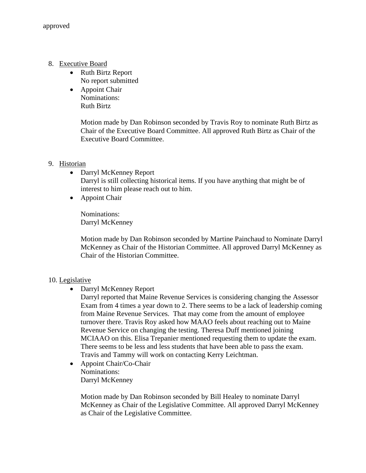- 8. Executive Board
	- Ruth Birtz Report No report submitted
	- Appoint Chair Nominations: Ruth Birtz

Motion made by Dan Robinson seconded by Travis Roy to nominate Ruth Birtz as Chair of the Executive Board Committee. All approved Ruth Birtz as Chair of the Executive Board Committee.

# 9. Historian

- Darryl McKenney Report Darryl is still collecting historical items. If you have anything that might be of interest to him please reach out to him.
- Appoint Chair

Nominations: Darryl McKenney

Motion made by Dan Robinson seconded by Martine Painchaud to Nominate Darryl McKenney as Chair of the Historian Committee. All approved Darryl McKenney as Chair of the Historian Committee.

### 10. Legislative

• Darryl McKenney Report

Darryl reported that Maine Revenue Services is considering changing the Assessor Exam from 4 times a year down to 2. There seems to be a lack of leadership coming from Maine Revenue Services. That may come from the amount of employee turnover there. Travis Roy asked how MAAO feels about reaching out to Maine Revenue Service on changing the testing. Theresa Duff mentioned joining MCIAAO on this. Elisa Trepanier mentioned requesting them to update the exam. There seems to be less and less students that have been able to pass the exam. Travis and Tammy will work on contacting Kerry Leichtman.

• Appoint Chair/Co-Chair Nominations: Darryl McKenney

> Motion made by Dan Robinson seconded by Bill Healey to nominate Darryl McKenney as Chair of the Legislative Committee. All approved Darryl McKenney as Chair of the Legislative Committee.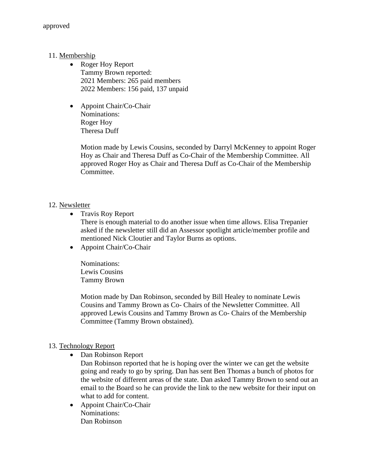- 11. Membership
	- Roger Hoy Report Tammy Brown reported: 2021 Members: 265 paid members 2022 Members: 156 paid, 137 unpaid
	- Appoint Chair/Co-Chair Nominations: Roger Hoy Theresa Duff

Motion made by Lewis Cousins, seconded by Darryl McKenney to appoint Roger Hoy as Chair and Theresa Duff as Co-Chair of the Membership Committee. All approved Roger Hoy as Chair and Theresa Duff as Co-Chair of the Membership Committee.

# 12. Newsletter

• Travis Roy Report

There is enough material to do another issue when time allows. Elisa Trepanier asked if the newsletter still did an Assessor spotlight article/member profile and mentioned Nick Cloutier and Taylor Burns as options.

• Appoint Chair/Co-Chair

Nominations: Lewis Cousins Tammy Brown

Motion made by Dan Robinson, seconded by Bill Healey to nominate Lewis Cousins and Tammy Brown as Co- Chairs of the Newsletter Committee. All approved Lewis Cousins and Tammy Brown as Co- Chairs of the Membership Committee (Tammy Brown obstained).

# 13. Technology Report

• Dan Robinson Report

Dan Robinson reported that he is hoping over the winter we can get the website going and ready to go by spring. Dan has sent Ben Thomas a bunch of photos for the website of different areas of the state. Dan asked Tammy Brown to send out an email to the Board so he can provide the link to the new website for their input on what to add for content.

• Appoint Chair/Co-Chair Nominations: Dan Robinson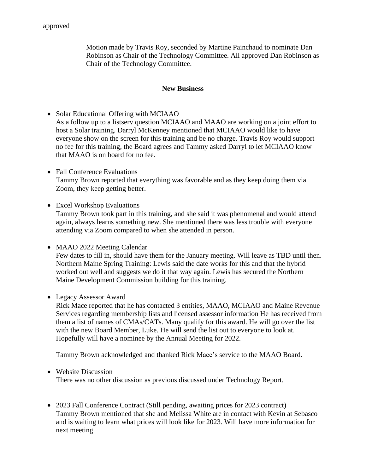Motion made by Travis Roy, seconded by Martine Painchaud to nominate Dan Robinson as Chair of the Technology Committee. All approved Dan Robinson as Chair of the Technology Committee.

### **New Business**

- Solar Educational Offering with MCIAAO As a follow up to a listserv question MCIAAO and MAAO are working on a joint effort to host a Solar training. Darryl McKenney mentioned that MCIAAO would like to have everyone show on the screen for this training and be no charge. Travis Roy would support no fee for this training, the Board agrees and Tammy asked Darryl to let MCIAAO know that MAAO is on board for no fee.
- Fall Conference Evaluations Tammy Brown reported that everything was favorable and as they keep doing them via Zoom, they keep getting better.
- Excel Workshop Evaluations Tammy Brown took part in this training, and she said it was phenomenal and would attend again, always learns something new. She mentioned there was less trouble with everyone attending via Zoom compared to when she attended in person.
- MAAO 2022 Meeting Calendar Few dates to fill in, should have them for the January meeting. Will leave as TBD until then. Northern Maine Spring Training: Lewis said the date works for this and that the hybrid worked out well and suggests we do it that way again. Lewis has secured the Northern Maine Development Commission building for this training.
- Legacy Assessor Award

Rick Mace reported that he has contacted 3 entities, MAAO, MCIAAO and Maine Revenue Services regarding membership lists and licensed assessor information He has received from them a list of names of CMAs/CATs. Many qualify for this award. He will go over the list with the new Board Member, Luke. He will send the list out to everyone to look at. Hopefully will have a nominee by the Annual Meeting for 2022.

Tammy Brown acknowledged and thanked Rick Mace's service to the MAAO Board.

• Website Discussion

There was no other discussion as previous discussed under Technology Report.

• 2023 Fall Conference Contract (Still pending, awaiting prices for 2023 contract) Tammy Brown mentioned that she and Melissa White are in contact with Kevin at Sebasco and is waiting to learn what prices will look like for 2023. Will have more information for next meeting.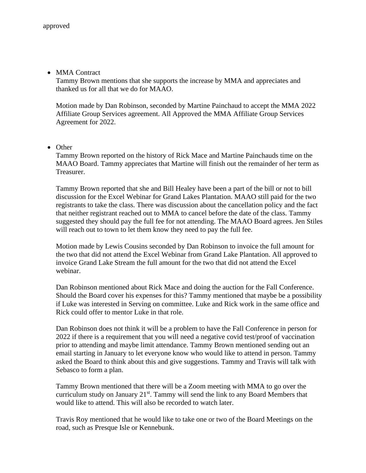• MMA Contract

Tammy Brown mentions that she supports the increase by MMA and appreciates and thanked us for all that we do for MAAO.

Motion made by Dan Robinson, seconded by Martine Painchaud to accept the MMA 2022 Affiliate Group Services agreement. All Approved the MMA Affiliate Group Services Agreement for 2022.

• Other

Tammy Brown reported on the history of Rick Mace and Martine Painchauds time on the MAAO Board. Tammy appreciates that Martine will finish out the remainder of her term as Treasurer.

Tammy Brown reported that she and Bill Healey have been a part of the bill or not to bill discussion for the Excel Webinar for Grand Lakes Plantation. MAAO still paid for the two registrants to take the class. There was discussion about the cancellation policy and the fact that neither registrant reached out to MMA to cancel before the date of the class. Tammy suggested they should pay the full fee for not attending. The MAAO Board agrees. Jen Stiles will reach out to town to let them know they need to pay the full fee.

Motion made by Lewis Cousins seconded by Dan Robinson to invoice the full amount for the two that did not attend the Excel Webinar from Grand Lake Plantation. All approved to invoice Grand Lake Stream the full amount for the two that did not attend the Excel webinar.

Dan Robinson mentioned about Rick Mace and doing the auction for the Fall Conference. Should the Board cover his expenses for this? Tammy mentioned that maybe be a possibility if Luke was interested in Serving on committee. Luke and Rick work in the same office and Rick could offer to mentor Luke in that role.

Dan Robinson does not think it will be a problem to have the Fall Conference in person for 2022 if there is a requirement that you will need a negative covid test/proof of vaccination prior to attending and maybe limit attendance. Tammy Brown mentioned sending out an email starting in January to let everyone know who would like to attend in person. Tammy asked the Board to think about this and give suggestions. Tammy and Travis will talk with Sebasco to form a plan.

Tammy Brown mentioned that there will be a Zoom meeting with MMA to go over the curriculum study on January  $21^{st}$ . Tammy will send the link to any Board Members that would like to attend. This will also be recorded to watch later.

Travis Roy mentioned that he would like to take one or two of the Board Meetings on the road, such as Presque Isle or Kennebunk.